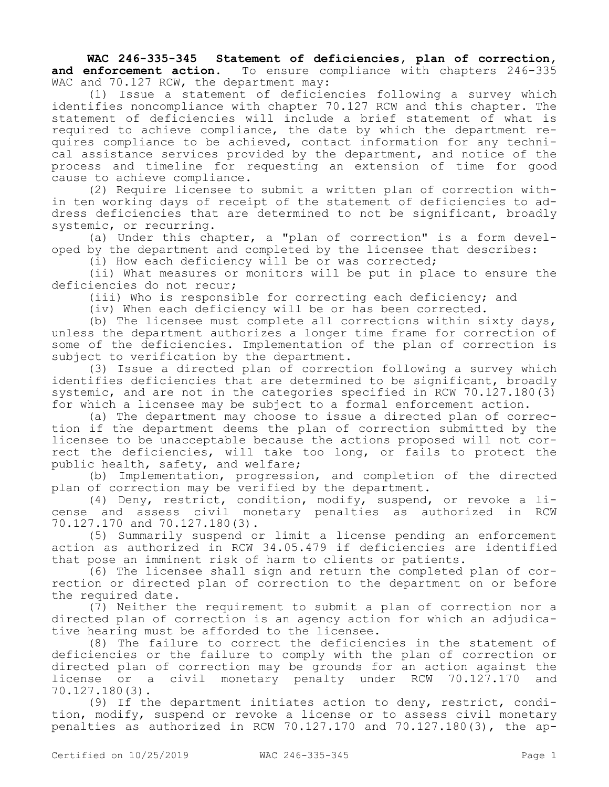WAC 246-335-345 Statement of deficiencies, plan of correction,<br>and enforcement action. To ensure compliance with chapters 246-335 To ensure compliance with chapters 246-335 WAC and 70.127 RCW, the department may:

(1) Issue a statement of deficiencies following a survey which identifies noncompliance with chapter 70.127 RCW and this chapter. The statement of deficiencies will include a brief statement of what is required to achieve compliance, the date by which the department requires compliance to be achieved, contact information for any technical assistance services provided by the department, and notice of the process and timeline for requesting an extension of time for good cause to achieve compliance.

(2) Require licensee to submit a written plan of correction within ten working days of receipt of the statement of deficiencies to address deficiencies that are determined to not be significant, broadly systemic, or recurring.

(a) Under this chapter, a "plan of correction" is a form developed by the department and completed by the licensee that describes:

(i) How each deficiency will be or was corrected;

(ii) What measures or monitors will be put in place to ensure the deficiencies do not recur;

(iii) Who is responsible for correcting each deficiency; and

(iv) When each deficiency will be or has been corrected.

(b) The licensee must complete all corrections within sixty days, unless the department authorizes a longer time frame for correction of some of the deficiencies. Implementation of the plan of correction is subject to verification by the department.

(3) Issue a directed plan of correction following a survey which identifies deficiencies that are determined to be significant, broadly systemic, and are not in the categories specified in RCW 70.127.180(3) for which a licensee may be subject to a formal enforcement action.

(a) The department may choose to issue a directed plan of correction if the department deems the plan of correction submitted by the licensee to be unacceptable because the actions proposed will not correct the deficiencies, will take too long, or fails to protect the public health, safety, and welfare;

(b) Implementation, progression, and completion of the directed plan of correction may be verified by the department.

(4) Deny, restrict, condition, modify, suspend, or revoke a license and assess civil monetary penalties as authorized in RCW 70.127.170 and 70.127.180(3).

(5) Summarily suspend or limit a license pending an enforcement action as authorized in RCW 34.05.479 if deficiencies are identified that pose an imminent risk of harm to clients or patients.

(6) The licensee shall sign and return the completed plan of correction or directed plan of correction to the department on or before the required date.

 $(7)$  Neither the requirement to submit a plan of correction nor a directed plan of correction is an agency action for which an adjudicative hearing must be afforded to the licensee.

(8) The failure to correct the deficiencies in the statement of deficiencies or the failure to comply with the plan of correction or directed plan of correction may be grounds for an action against the license or a civil monetary penalty under RCW 70.127.170 and 70.127.180(3).

(9) If the department initiates action to deny, restrict, condition, modify, suspend or revoke a license or to assess civil monetary penalties as authorized in RCW 70.127.170 and 70.127.180(3), the ap